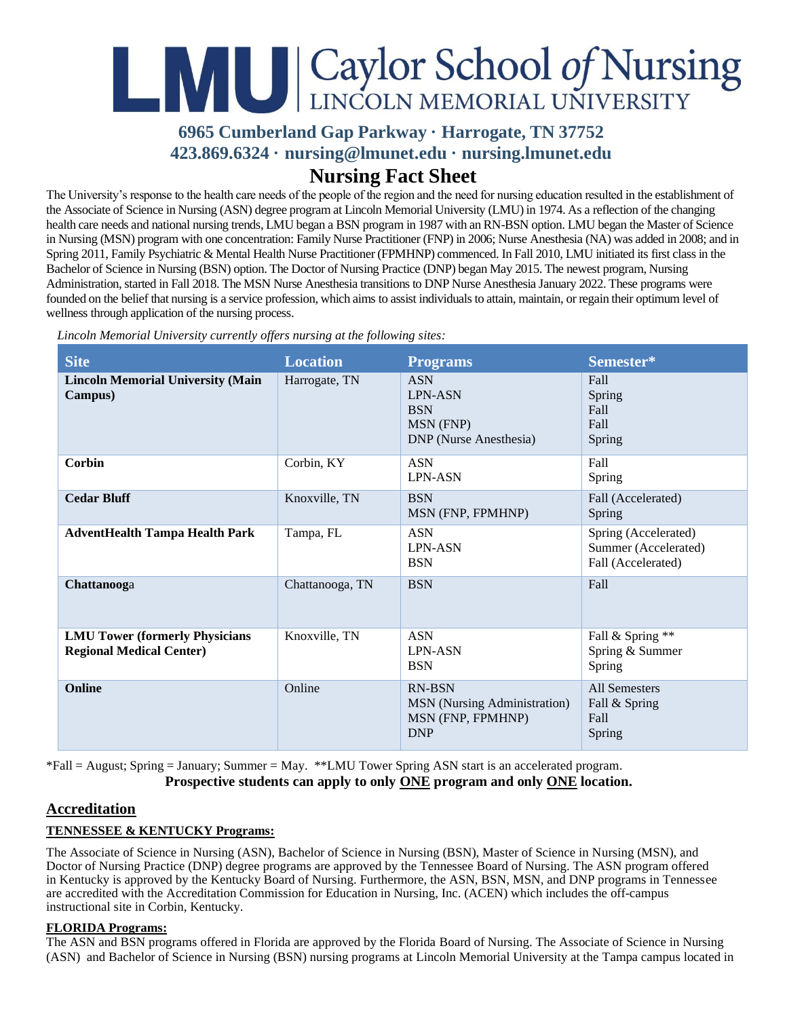# LANGE Caylor School of Nursing

## **6965 Cumberland Gap Parkway · Harrogate, TN 37752 423.869.6324 · [nursing@lmunet.edu](mailto:nursing@lmunet.edu) · nursing.lmunet.edu Nursing Fact Sheet**

The University's response to the health care needs of the people of the region and the need for nursing education resulted in the establishment of the Associate of Science in Nursing (ASN) degree program at Lincoln Memorial University (LMU) in 1974. As a reflection of the changing health care needs and national nursing trends, LMU began a BSN program in 1987 with an RN-BSN option. LMU began the Master of Science in Nursing (MSN) program with one concentration: Family Nurse Practitioner (FNP) in 2006; Nurse Anesthesia (NA) was added in 2008; and in Spring 2011, Family Psychiatric & Mental Health Nurse Practitioner (FPMHNP) commenced. In Fall 2010, LMU initiated its first class in the Bachelor of Science in Nursing (BSN) option. The Doctor of Nursing Practice (DNP) began May 2015. The newest program, Nursing Administration, started in Fall 2018. The MSN Nurse Anesthesia transitions to DNP Nurse Anesthesia January 2022. These programs were founded on the belief that nursing is a service profession, which aims to assist individuals to attain, maintain, or regain their optimum level of wellness through application of the nursing process.

| <b>Site</b>                                                              | <b>Location</b> | <b>Programs</b>                                                                          | Semester*                                                          |
|--------------------------------------------------------------------------|-----------------|------------------------------------------------------------------------------------------|--------------------------------------------------------------------|
| <b>Lincoln Memorial University (Main</b><br>Campus)                      | Harrogate, TN   | <b>ASN</b><br><b>LPN-ASN</b><br><b>BSN</b><br>MSN (FNP)<br><b>DNP</b> (Nurse Anesthesia) | Fall<br>Spring<br>Fall<br>Fall<br>Spring                           |
| <b>Corbin</b>                                                            | Corbin, KY      | <b>ASN</b><br>LPN-ASN                                                                    | Fall<br>Spring                                                     |
| <b>Cedar Bluff</b>                                                       | Knoxville, TN   | <b>BSN</b><br>MSN (FNP, FPMHNP)                                                          | Fall (Accelerated)<br>Spring                                       |
| <b>AdventHealth Tampa Health Park</b>                                    | Tampa, FL       | <b>ASN</b><br><b>LPN-ASN</b><br><b>BSN</b>                                               | Spring (Accelerated)<br>Summer (Accelerated)<br>Fall (Accelerated) |
| Chattanooga                                                              | Chattanooga, TN | <b>BSN</b>                                                                               | Fall                                                               |
| <b>LMU Tower (formerly Physicians</b><br><b>Regional Medical Center)</b> | Knoxville, TN   | <b>ASN</b><br><b>LPN-ASN</b><br><b>BSN</b>                                               | Fall & Spring **<br>Spring & Summer<br>Spring                      |
| Online                                                                   | Online          | <b>RN-BSN</b><br><b>MSN</b> (Nursing Administration)<br>MSN (FNP, FPMHNP)<br><b>DNP</b>  | All Semesters<br>Fall & Spring<br>Fall<br>Spring                   |

*Lincoln Memorial University currently offers nursing at the following sites:*

\*Fall = August; Spring = January; Summer = May. \*\*LMU Tower Spring ASN start is an accelerated program. **Prospective students can apply to only ONE program and only ONE location.**

### **Accreditation**

#### **TENNESSEE & KENTUCKY Programs:**

The Associate of Science in Nursing (ASN), Bachelor of Science in Nursing (BSN), Master of Science in Nursing (MSN), and Doctor of Nursing Practice (DNP) degree programs are approved by the Tennessee Board of Nursing. The ASN program offered in Kentucky is approved by the Kentucky Board of Nursing. Furthermore, the ASN, BSN, MSN, and DNP programs in Tennessee are accredited with the Accreditation Commission for Education in Nursing, Inc. (ACEN) which includes the off-campus instructional site in Corbin, Kentucky.

#### **FLORIDA Programs:**

The ASN and BSN programs offered in Florida are approved by the Florida Board of Nursing. The Associate of Science in Nursing (ASN) and Bachelor of Science in Nursing (BSN) nursing programs at Lincoln Memorial University at the Tampa campus located in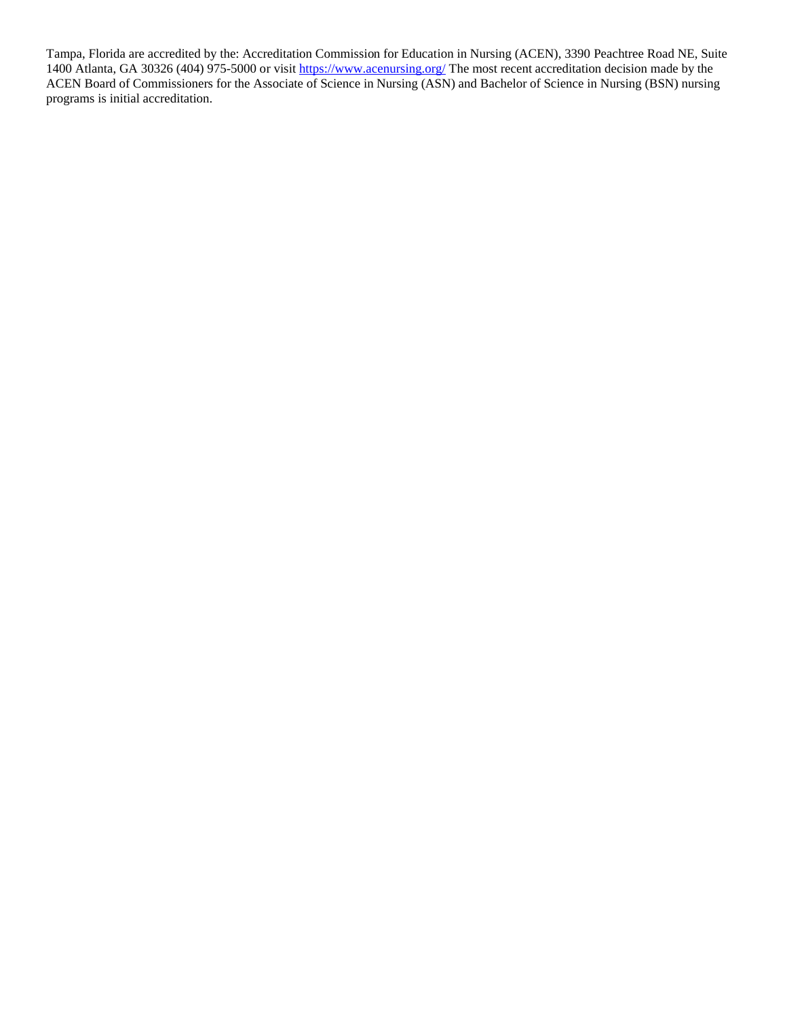Tampa, Florida are accredited by the: Accreditation Commission for Education in Nursing (ACEN), 3390 Peachtree Road NE, Suite 1400 Atlanta, GA 30326 (404) 975-5000 or visit [https://www.acenursing.org/](https://nam12.safelinks.protection.outlook.com/?url=https%3A%2F%2Fwww.acenursing.org%2F&data=04%7C01%7Cmarisa.anders%40lmunet.edu%7C1857d4cf88074dd2f7d508d97d0e884f%7Cd3ef1a875daf4bdfa11b40412f4a2b3c%7C0%7C0%7C637678323627517921%7CUnknown%7CTWFpbGZsb3d8eyJWIjoiMC4wLjAwMDAiLCJQIjoiV2luMzIiLCJBTiI6Ik1haWwiLCJXVCI6Mn0%3D%7C1000&sdata=nLBB8%2FIyX8hJ9RcU8hEG3bK369DPDlCTkk1D%2FVD%2F%2BWI%3D&reserved=0) The most recent accreditation decision made by the ACEN Board of Commissioners for the Associate of Science in Nursing (ASN) and Bachelor of Science in Nursing (BSN) nursing programs is initial accreditation.